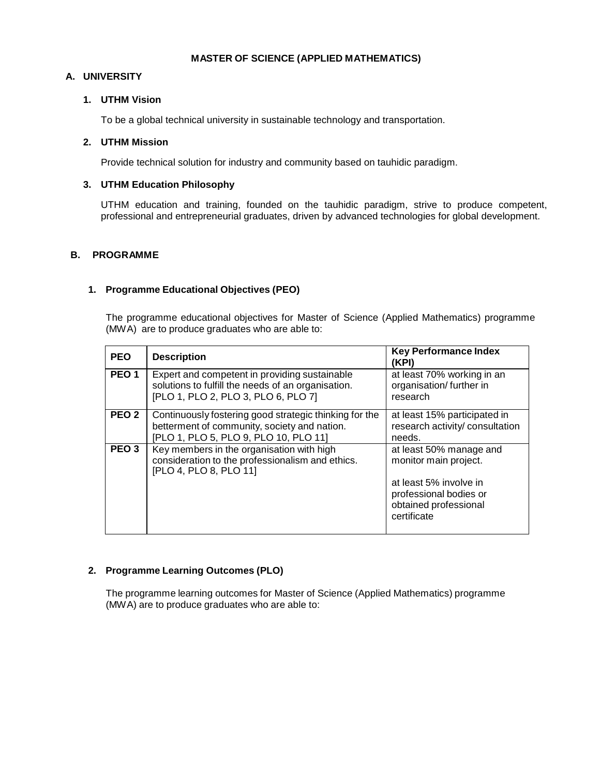#### **MASTER OF SCIENCE (APPLIED MATHEMATICS)**

### **A. UNIVERSITY**

### **1. UTHM Vision**

To be a global technical university in sustainable technology and transportation.

# **2. UTHM Mission**

Provide technical solution for industry and community based on tauhidic paradigm.

## **3. UTHM Education Philosophy**

UTHM education and training, founded on the tauhidic paradigm, strive to produce competent, professional and entrepreneurial graduates, driven by advanced technologies for global development.

### **B. PROGRAMME**

### **1. Programme Educational Objectives (PEO)**

The programme educational objectives for Master of Science (Applied Mathematics) programme (MWA) are to produce graduates who are able to:

| <b>PEO</b>       | <b>Description</b>                                                                                                                              | <b>Key Performance Index</b><br>(KPI)                                                                                                        |
|------------------|-------------------------------------------------------------------------------------------------------------------------------------------------|----------------------------------------------------------------------------------------------------------------------------------------------|
| PEO <sub>1</sub> | Expert and competent in providing sustainable<br>solutions to fulfill the needs of an organisation.<br>[PLO 1, PLO 2, PLO 3, PLO 6, PLO 7]      | at least 70% working in an<br>organisation/further in<br>research                                                                            |
| PEO <sub>2</sub> | Continuously fostering good strategic thinking for the<br>betterment of community, society and nation.<br>[PLO 1, PLO 5, PLO 9, PLO 10, PLO 11] | at least 15% participated in<br>research activity/ consultation<br>needs.                                                                    |
| PEO <sub>3</sub> | Key members in the organisation with high<br>consideration to the professionalism and ethics.<br>[PLO 4, PLO 8, PLO 11]                         | at least 50% manage and<br>monitor main project.<br>at least 5% involve in<br>professional bodies or<br>obtained professional<br>certificate |

# **2. Programme Learning Outcomes (PLO)**

The programme learning outcomes for Master of Science (Applied Mathematics) programme (MWA) are to produce graduates who are able to: